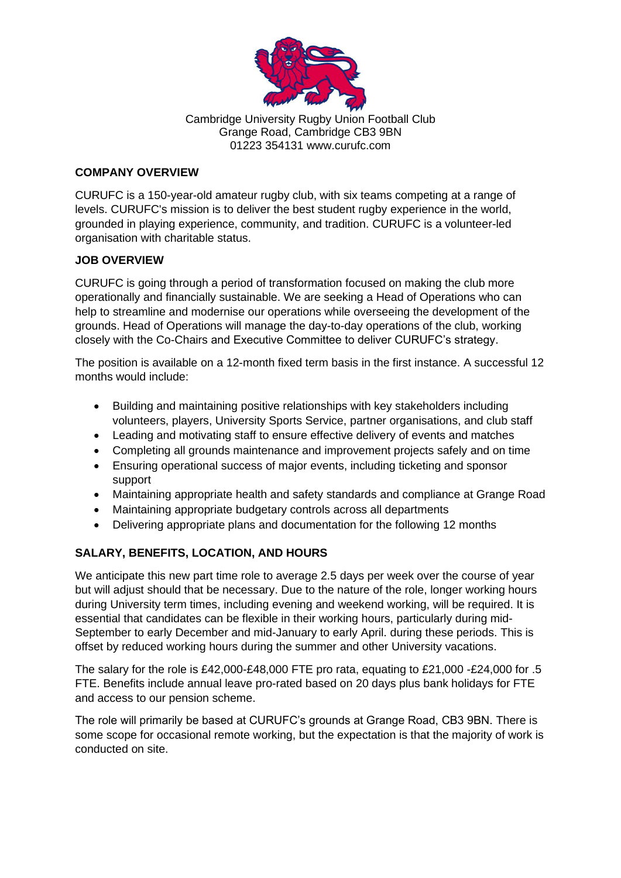

Cambridge University Rugby Union Football Club Grange Road, Cambridge CB3 9BN 01223 354131 www.curufc.com

#### **COMPANY OVERVIEW**

CURUFC is a 150-year-old amateur rugby club, with six teams competing at a range of levels. CURUFC's mission is to deliver the best student rugby experience in the world, grounded in playing experience, community, and tradition. CURUFC is a volunteer-led organisation with charitable status.

### **JOB OVERVIEW**

CURUFC is going through a period of transformation focused on making the club more operationally and financially sustainable. We are seeking a Head of Operations who can help to streamline and modernise our operations while overseeing the development of the grounds. Head of Operations will manage the day-to-day operations of the club, working closely with the Co-Chairs and Executive Committee to deliver CURUFC's strategy.

The position is available on a 12-month fixed term basis in the first instance. A successful 12 months would include:

- Building and maintaining positive relationships with key stakeholders including volunteers, players, University Sports Service, partner organisations, and club staff
- Leading and motivating staff to ensure effective delivery of events and matches
- Completing all grounds maintenance and improvement projects safely and on time
- Ensuring operational success of major events, including ticketing and sponsor support
- Maintaining appropriate health and safety standards and compliance at Grange Road
- Maintaining appropriate budgetary controls across all departments
- Delivering appropriate plans and documentation for the following 12 months

# **SALARY, BENEFITS, LOCATION, AND HOURS**

We anticipate this new part time role to average 2.5 days per week over the course of year but will adjust should that be necessary. Due to the nature of the role, longer working hours during University term times, including evening and weekend working, will be required. It is essential that candidates can be flexible in their working hours, particularly during mid-September to early December and mid-January to early April. during these periods. This is offset by reduced working hours during the summer and other University vacations.

The salary for the role is £42,000-£48,000 FTE pro rata, equating to £21,000 -£24,000 for .5 FTE. Benefits include annual leave pro-rated based on 20 days plus bank holidays for FTE and access to our pension scheme.

The role will primarily be based at CURUFC's grounds at Grange Road, CB3 9BN. There is some scope for occasional remote working, but the expectation is that the majority of work is conducted on site.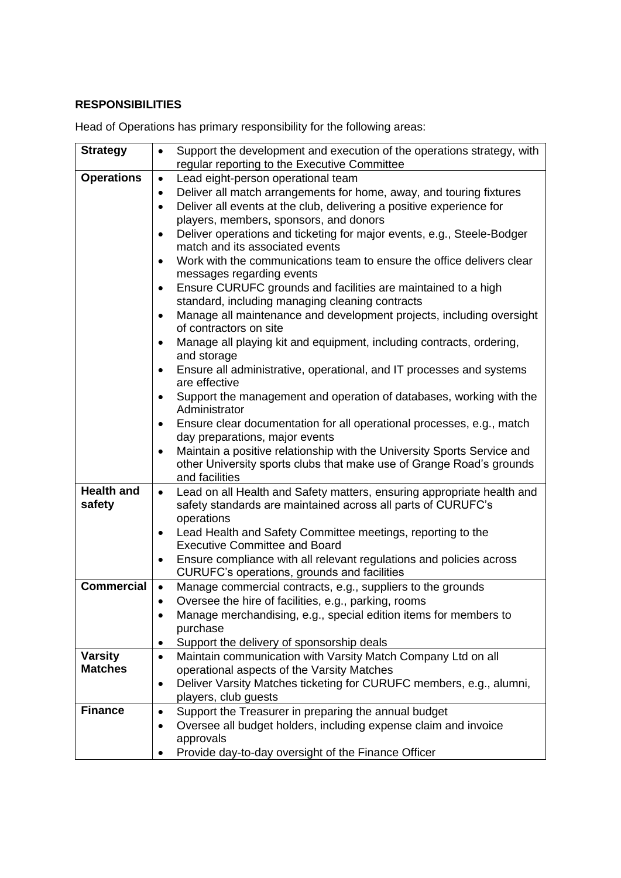#### **RESPONSIBILITIES**

**Strategy**  $\bullet$  Support the development and execution of the operations strategy, with regular reporting to the Executive Committee **Operations**  $\bullet$  Lead eight-person operational team • Deliver all match arrangements for home, away, and touring fixtures • Deliver all events at the club, delivering a positive experience for players, members, sponsors, and donors • Deliver operations and ticketing for major events, e.g., Steele-Bodger match and its associated events • Work with the communications team to ensure the office delivers clear messages regarding events • Ensure CURUFC grounds and facilities are maintained to a high standard, including managing cleaning contracts • Manage all maintenance and development projects, including oversight of contractors on site • Manage all playing kit and equipment, including contracts, ordering, and storage • Ensure all administrative, operational, and IT processes and systems are effective • Support the management and operation of databases, working with the Administrator • Ensure clear documentation for all operational processes, e.g., match day preparations, major events • Maintain a positive relationship with the University Sports Service and other University sports clubs that make use of Grange Road's grounds and facilities **Health and safety** • Lead on all Health and Safety matters, ensuring appropriate health and safety standards are maintained across all parts of CURUFC's operations • Lead Health and Safety Committee meetings, reporting to the Executive Committee and Board • Ensure compliance with all relevant regulations and policies across CURUFC's operations, grounds and facilities **Commercial** • Manage commercial contracts, e.g., suppliers to the grounds • Oversee the hire of facilities, e.g., parking, rooms • Manage merchandising, e.g., special edition items for members to purchase • Support the delivery of sponsorship deals **Varsity Matches** • Maintain communication with Varsity Match Company Ltd on all operational aspects of the Varsity Matches • Deliver Varsity Matches ticketing for CURUFC members, e.g., alumni, players, club guests **Finance •** Support the Treasurer in preparing the annual budget • Oversee all budget holders, including expense claim and invoice approvals • Provide day-to-day oversight of the Finance Officer

Head of Operations has primary responsibility for the following areas: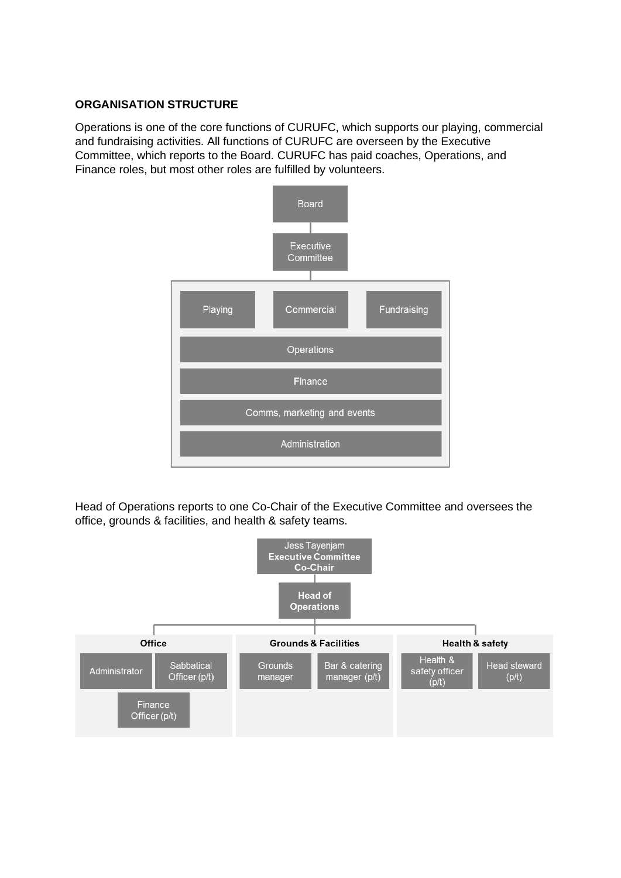### **ORGANISATION STRUCTURE**

Operations is one of the core functions of CURUFC, which supports our playing, commercial and fundraising activities. All functions of CURUFC are overseen by the Executive Committee, which reports to the Board. CURUFC has paid coaches, Operations, and Finance roles, but most other roles are fulfilled by volunteers.



Head of Operations reports to one Co-Chair of the Executive Committee and oversees the office, grounds & facilities, and health & safety teams.